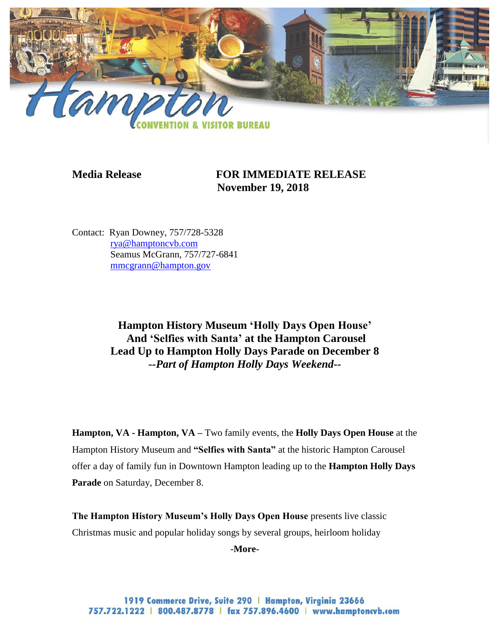

**Media Release FOR IMMEDIATE RELEASE November 19, 2018**

Contact: Ryan Downey, 757/728-5328 [rya@hamptoncvb.com](mailto:rya@hamptoncvb.com) Seamus McGrann, 757/727-6841 [mmcgrann@hampton.gov](mailto:mmcgrann@hampton.gov)

> **Hampton History Museum 'Holly Days Open House' And 'Selfies with Santa' at the Hampton Carousel Lead Up to Hampton Holly Days Parade on December 8** *--Part of Hampton Holly Days Weekend--*

**Hampton, VA - Hampton, VA –** Two family events, the **Holly Days Open House** at the Hampton History Museum and **"Selfies with Santa"** at the historic Hampton Carousel offer a day of family fun in Downtown Hampton leading up to the **Hampton Holly Days Parade** on Saturday, December 8.

**The Hampton History Museum's Holly Days Open House** presents live classic Christmas music and popular holiday songs by several groups, heirloom holiday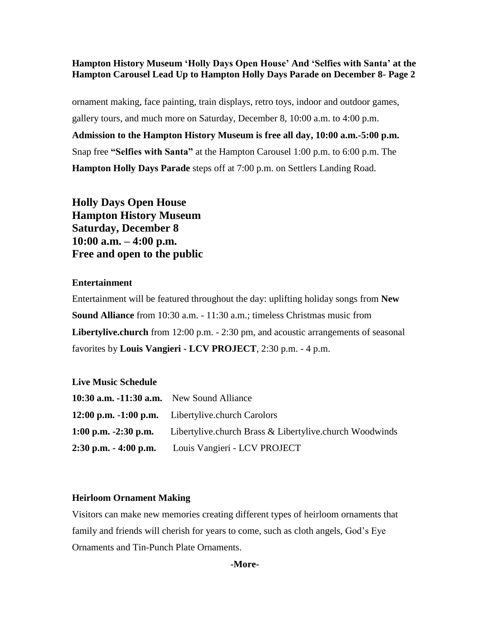ornament making, face painting, train displays, retro toys, indoor and outdoor games, gallery tours, and much more on Saturday, December 8, 10:00 a.m. to 4:00 p.m. **Admission to the Hampton History Museum is free all day, 10:00 a.m.-5:00 p.m.** Snap free **"Selfies with Santa"** at the Hampton Carousel 1:00 p.m. to 6:00 p.m. The **Hampton Holly Days Parade** steps off at 7:00 p.m. on Settlers Landing Road.

**Holly Days Open House Hampton History Museum Saturday, December 8 10:00 a.m. – 4:00 p.m. Free and open to the public**

## **Entertainment**

Entertainment will be featured throughout the day: uplifting holiday songs from **New Sound Alliance** from 10:30 a.m. - 11:30 a.m.; timeless Christmas music from **Libertylive.church** from 12:00 p.m. - 2:30 pm, and acoustic arrangements of seasonal favorites by **Louis Vangieri - LCV PROJECT**, 2:30 p.m. - 4 p.m.

## **Live Music Schedule**

| 10:30 $a.m. -11:30$ $a.m.$ New Sound Alliance |                                                                                     |
|-----------------------------------------------|-------------------------------------------------------------------------------------|
|                                               | 12:00 p.m. -1:00 p.m. Libertylive.church Carolors                                   |
|                                               | <b>1:00 p.m. -2:30 p.m.</b> Libertylive.church Brass & Libertylive.church Woodwinds |
|                                               | 2:30 p.m. - 4:00 p.m. Louis Vangieri - LCV PROJECT                                  |

#### **Heirloom Ornament Making**

Visitors can make new memories creating different types of heirloom ornaments that family and friends will cherish for years to come, such as cloth angels, God's Eye Ornaments and Tin-Punch Plate Ornaments.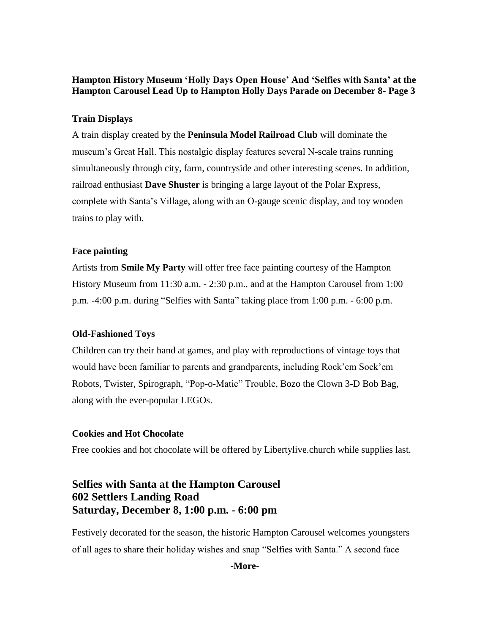## **Train Displays**

A train display created by the **Peninsula Model Railroad Club** will dominate the museum's Great Hall. This nostalgic display features several N-scale trains running simultaneously through city, farm, countryside and other interesting scenes. In addition, railroad enthusiast **Dave Shuster** is bringing a large layout of the Polar Express, complete with Santa's Village, along with an O-gauge scenic display, and toy wooden trains to play with.

## **Face painting**

Artists from **[Smile My Party](https://www.facebook.com/amileofsmilesValDAISY/)** will offer free face painting courtesy of the Hampton History Museum from 11:30 a.m. - 2:30 p.m., and at the Hampton Carousel from 1:00 p.m. -4:00 p.m. during "Selfies with Santa" taking place from 1:00 p.m. - 6:00 p.m.

## **Old-Fashioned Toys**

Children can try their hand at games, and play with reproductions of vintage toys that would have been familiar to parents and grandparents, including Rock'em Sock'em Robots, Twister, Spirograph, "Pop-o-Matic" Trouble, Bozo the Clown 3-D Bob Bag, along with the ever-popular LEGOs.

## **Cookies and Hot Chocolate**

Free cookies and hot chocolate will be offered by Libertylive.church while supplies last.

# **Selfies with Santa at the Hampton Carousel 602 Settlers Landing Road Saturday, December 8, 1:00 p.m. - 6:00 pm**

Festively decorated for the season, the historic Hampton Carousel welcomes youngsters of all ages to share their holiday wishes and snap "Selfies with Santa." A second face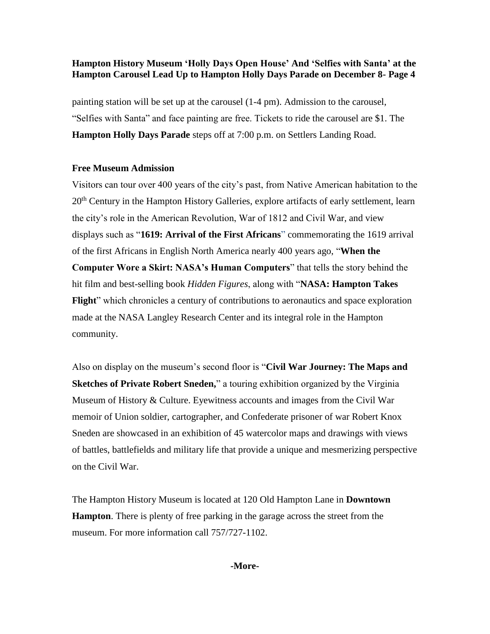painting station will be set up at the carousel (1-4 pm). Admission to the carousel, "Selfies with Santa" and face painting are free. Tickets to ride the carousel are \$1. The **Hampton Holly Days Parade** steps off at 7:00 p.m. on Settlers Landing Road.

# **Free Museum Admission**

Visitors can tour over 400 years of the city's past, from Native American habitation to the 20<sup>th</sup> Century in the Hampton History Galleries, explore artifacts of early settlement, learn the city's role in the American Revolution, War of 1812 and Civil War, and view displays such as "**1619: Arrival of the First Africans**" commemorating the 1619 arrival of the first Africans in English North America nearly 400 years ago, "**When the Computer Wore a Skirt: NASA's Human Computers**" that tells the story behind the hit film and best-selling book *Hidden Figures*, along with "**NASA: Hampton Takes Flight**" which chronicles a century of contributions to aeronautics and space exploration made at the NASA Langley Research Center and its integral role in the Hampton community.

Also on display on the museum's second floor is "**Civil War Journey: The Maps and Sketches of Private Robert Sneden,**" a touring exhibition organized by the Virginia Museum of History & Culture. Eyewitness accounts and images from the Civil War memoir of Union soldier, cartographer, and Confederate prisoner of war Robert Knox Sneden are showcased in an exhibition of 45 watercolor maps and drawings with views of battles, battlefields and military life that provide a unique and mesmerizing perspective on the Civil War.

The Hampton History Museum is located at 120 Old Hampton Lane in **Downtown Hampton**. There is plenty of free parking in the garage across the street from the museum. For more information call 757/727-1102.